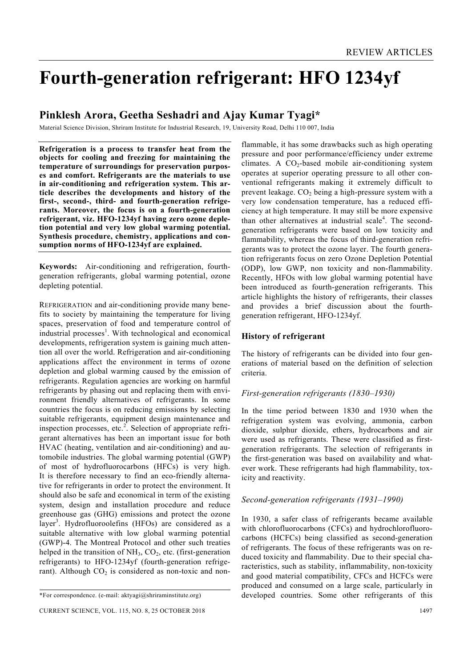# **Fourth-generation refrigerant: HFO 1234yf**

# **Pinklesh Arora, Geetha Seshadri and Ajay Kumar Tyagi\***

Material Science Division, Shriram Institute for Industrial Research, 19, University Road, Delhi 110 007, India

**Refrigeration is a process to transfer heat from the objects for cooling and freezing for maintaining the temperature of surroundings for preservation purposes and comfort. Refrigerants are the materials to use in air-conditioning and refrigeration system. This article describes the developments and history of the first-, second-, third- and fourth-generation refrigerants. Moreover, the focus is on a fourth-generation refrigerant, viz. HFO-1234yf having zero ozone depletion potential and very low global warming potential. Synthesis procedure, chemistry, applications and consumption norms of HFO-1234yf are explained.** 

**Keywords:** Air-conditioning and refrigeration, fourthgeneration refrigerants, global warming potential, ozone depleting potential.

REFRIGERATION and air-conditioning provide many benefits to society by maintaining the temperature for living spaces, preservation of food and temperature control of industrial processes<sup>1</sup>. With technological and economical developments, refrigeration system is gaining much attention all over the world. Refrigeration and air-conditioning applications affect the environment in terms of ozone depletion and global warming caused by the emission of refrigerants. Regulation agencies are working on harmful refrigerants by phasing out and replacing them with environment friendly alternatives of refrigerants. In some countries the focus is on reducing emissions by selecting suitable refrigerants, equipment design maintenance and inspection processes, etc.<sup>2</sup>. Selection of appropriate refrigerant alternatives has been an important issue for both HVAC (heating, ventilation and air-conditioning) and automobile industries. The global warming potential (GWP) of most of hydrofluorocarbons (HFCs) is very high. It is therefore necessary to find an eco-friendly alternative for refrigerants in order to protect the environment. It should also be safe and economical in term of the existing system, design and installation procedure and reduce greenhouse gas (GHG) emissions and protect the ozone layer<sup>3</sup>. Hydrofluoroolefins (HFOs) are considered as a suitable alternative with low global warming potential (GWP)-4. The Montreal Protocol and other such treaties helped in the transition of  $NH<sub>3</sub>, CO<sub>2</sub>$ , etc. (first-generation refrigerants) to HFO-1234yf (fourth-generation refrigerant). Although  $CO<sub>2</sub>$  is considered as non-toxic and non-

flammable, it has some drawbacks such as high operating pressure and poor performance/efficiency under extreme climates. A  $CO<sub>2</sub>$ -based mobile air-conditioning system operates at superior operating pressure to all other conventional refrigerants making it extremely difficult to prevent leakage.  $CO<sub>2</sub>$  being a high-pressure system with a very low condensation temperature, has a reduced efficiency at high temperature. It may still be more expensive than other alternatives at industrial scale<sup>4</sup>. The secondgeneration refrigerants were based on low toxicity and flammability, whereas the focus of third-generation refrigerants was to protect the ozone layer. The fourth generation refrigerants focus on zero Ozone Depletion Potential (ODP), low GWP, non toxicity and non-flammability. Recently, HFOs with low global warming potential have been introduced as fourth-generation refrigerants. This article highlights the history of refrigerants, their classes and provides a brief discussion about the fourthgeneration refrigerant, HFO-1234yf.

## **History of refrigerant**

The history of refrigerants can be divided into four generations of material based on the definition of selection criteria.

## *First-generation refrigerants (1830–1930)*

In the time period between 1830 and 1930 when the refrigeration system was evolving, ammonia, carbon dioxide, sulphur dioxide, ethers, hydrocarbons and air were used as refrigerants. These were classified as firstgeneration refrigerants. The selection of refrigerants in the first-generation was based on availability and whatever work. These refrigerants had high flammability, toxicity and reactivity.

## *Second-generation refrigerants (1931–1990)*

In 1930, a safer class of refrigerants became available with chlorofluorocarbons (CFCs) and hydrochlorofluorocarbons (HCFCs) being classified as second-generation of refrigerants. The focus of these refrigerants was on reduced toxicity and flammability. Due to their special characteristics, such as stability, inflammability, non-toxicity and good material compatibility, CFCs and HCFCs were produced and consumed on a large scale, particularly in developed countries. Some other refrigerants of this

<sup>\*</sup>For correspondence. (e-mail: aktyagi@shriraminstitute.org)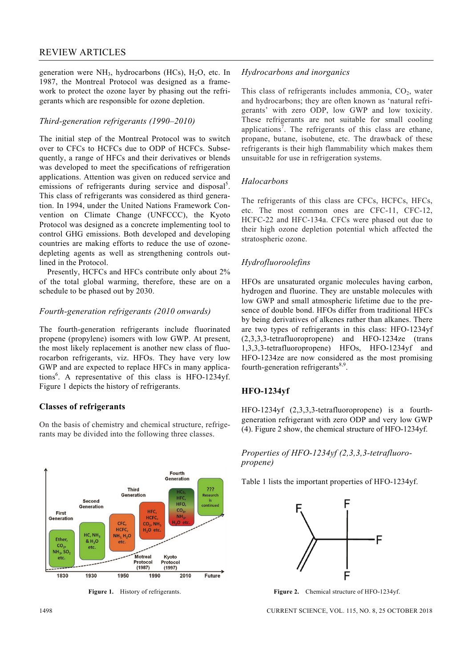generation were  $NH_3$ , hydrocarbons (HCs),  $H_2O$ , etc. In 1987, the Montreal Protocol was designed as a framework to protect the ozone layer by phasing out the refrigerants which are responsible for ozone depletion.

## *Third-generation refrigerants (1990–2010)*

The initial step of the Montreal Protocol was to switch over to CFCs to HCFCs due to ODP of HCFCs. Subsequently, a range of HFCs and their derivatives or blends was developed to meet the specifications of refrigeration applications. Attention was given on reduced service and emissions of refrigerants during service and disposal<sup>5</sup>. This class of refrigerants was considered as third generation. In 1994, under the United Nations Framework Convention on Climate Change (UNFCCC), the Kyoto Protocol was designed as a concrete implementing tool to control GHG emissions. Both developed and developing countries are making efforts to reduce the use of ozonedepleting agents as well as strengthening controls outlined in the Protocol.

 Presently, HCFCs and HFCs contribute only about 2% of the total global warming, therefore, these are on a schedule to be phased out by 2030.

## *Fourth-generation refrigerants (2010 onwards)*

The fourth-generation refrigerants include fluorinated propene (propylene) isomers with low GWP. At present, the most likely replacement is another new class of fluorocarbon refrigerants, viz. HFOs. They have very low GWP and are expected to replace HFCs in many applications<sup>6</sup>. A representative of this class is HFO-1234yf. Figure 1 depicts the history of refrigerants.

# **Classes of refrigerants**

On the basis of chemistry and chemical structure, refrigerants may be divided into the following three classes.



Figure 1. History of refrigerants.

## *Hydrocarbons and inorganics*

This class of refrigerants includes ammonia,  $CO<sub>2</sub>$ , water and hydrocarbons; they are often known as 'natural refrigerants' with zero ODP, low GWP and low toxicity. These refrigerants are not suitable for small cooling applications<sup>7</sup>. The refrigerants of this class are ethane, propane, butane, isobutene, etc. The drawback of these refrigerants is their high flammability which makes them unsuitable for use in refrigeration systems.

## *Halocarbons*

The refrigerants of this class are CFCs, HCFCs, HFCs, etc. The most common ones are CFC-11, CFC-12, HCFC-22 and HFC-134a. CFCs were phased out due to their high ozone depletion potential which affected the stratospheric ozone.

# *Hydrofluoroolefins*

HFOs are unsaturated organic molecules having carbon, hydrogen and fluorine. They are unstable molecules with low GWP and small atmospheric lifetime due to the presence of double bond. HFOs differ from traditional HFCs by being derivatives of alkenes rather than alkanes. There are two types of refrigerants in this class: HFO-1234yf (2,3,3,3-tetrafluoropropene) and HFO-1234ze (trans 1,3,3,3-tetrafluoropropene) HFOs, HFO-1234yf and HFO-1234ze are now considered as the most promising fourth-generation refrigerants<sup>8,9</sup>.

# **HFO-1234yf**

HFO-1234yf (2,3,3,3-tetrafluoropropene) is a fourthgeneration refrigerant with zero ODP and very low GWP (4). Figure 2 show, the chemical structure of HFO-1234yf.

## *Properties of HFO-1234yf (2,3,3,3-tetrafluoropropene)*

Table 1 lists the important properties of HFO-1234yf.



**Figure 2.** Chemical structure of HFO-1234yf.

1498 CURRENT SCIENCE, VOL. 115, NO. 8, 25 OCTOBER 2018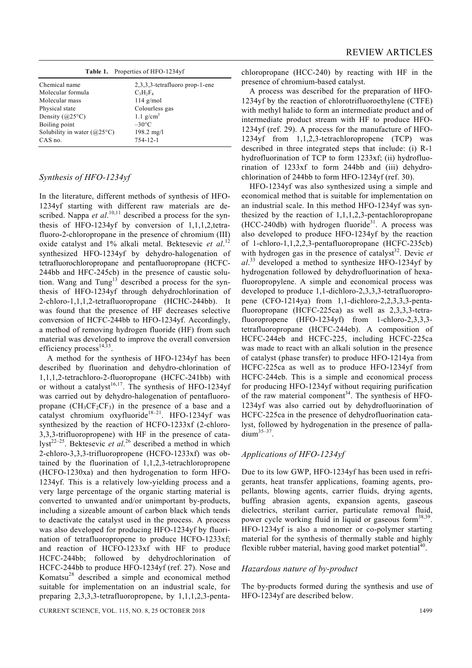|                                      | Table 1. Properties of HFO-1234yf |
|--------------------------------------|-----------------------------------|
| Chemical name                        | 2,3,3,3-tetrafluoro prop-1-ene    |
| Molecular formula                    | $C_3H_2F_4$                       |
| Molecular mass                       | $114$ g/mol                       |
| Physical state                       | Colourless gas                    |
| Density $(a25^{\circ}C)$             | 1.1 $g/cm^3$                      |
| Boiling point                        | $-30^{\circ}$ C                   |
| Solubility in water $(Q25^{\circ}C)$ | $198.2 \text{ mg/l}$              |
| CAS no.                              | 754-12-1                          |
|                                      |                                   |

## *Synthesis of HFO-1234yf*

In the literature, different methods of synthesis of HFO-1234yf starting with different raw materials are described. Nappa *et al.*<sup>10,11</sup> described a process for the synthesis of HFO-1234yf by conversion of 1,1,1,2,tetrafluoro-2-chloropropane in the presence of chromium (III) oxide catalyst and 1% alkali metal. Bektesevic *et al*. 12 synthesized HFO-1234yf by dehydro-halogenation of tetrafluorochloropropane and pentafluoropropane (HCFC-244bb and HFC-245cb) in the presence of caustic solution. Wang and  $Tung<sup>13</sup>$  described a process for the synthesis of HFO-1234yf through dehydrochlorination of 2-chloro-1,1,1,2-tetrafluoropropane (HCHC-244bb). It was found that the presence of HF decreases selective conversion of HCFC-244bb to HFO-1234yf. Accordingly, a method of removing hydrogen fluoride (HF) from such material was developed to improve the overall conversion efficiency process<sup>14,15</sup>.

 A method for the synthesis of HFO-1234yf has been described by fluorination and dehydro-chlorination of 1,1,1,2-tetrachloro-2-fluoropropane (HCFC-241bb) with or without a catalyst<sup>16,17</sup>. The synthesis of HFO-1234yf was carried out by dehydro-halogenation of pentafluoropropane  $(CH_3CF_2CF_3)$  in the presence of a base and a catalyst chromium oxyfluoride<sup>18-21</sup>. HFO-1234yf was synthesized by the reaction of HCFO-1233xf (2-chloro-3,3,3-trifluoropropene) with HF in the presence of catalyst<sup>22–25</sup>. Bektesevic *et al*.<sup>26</sup> described a method in which 2-chloro-3,3,3-trifluoropropene (HCFO-1233xf) was obtained by the fluorination of 1,1,2,3-tetrachloropropene (HCFO-1230xa) and then hydrogenation to form HFO-1234yf. This is a relatively low-yielding process and a very large percentage of the organic starting material is converted to unwanted and/or unimportant by-products, including a sizeable amount of carbon black which tends to deactivate the catalyst used in the process. A process was also developed for producing HFO-1234yf by fluorination of tetrafluoropropene to produce HCFO-1233xf; and reaction of HCFO-1233xf with HF to produce HCFC-244bb; followed by dehydrochlorination of HCFC-244bb to produce HFO-1234yf (ref. 27). Nose and Komatsu28 described a simple and economical method suitable for implementation on an industrial scale, for preparing 2,3,3,3-tetrafluoropropene, by 1,1,1,2,3-penta-

CURRENT SCIENCE, VOL. 115, NO. 8, 25 OCTOBER 2018 1499

chloropropane (HCC-240) by reacting with HF in the presence of chromium-based catalyst.

 A process was described for the preparation of HFO-1234yf by the reaction of chlorotrifluoroethylene (CTFE) with methyl halide to form an intermediate product and of intermediate product stream with HF to produce HFO-1234yf (ref. 29). A process for the manufacture of HFO-1234yf from 1,1,2,3-tetrachloropropene (TCP) was described in three integrated steps that include: (i) R-1 hydrofluorination of TCP to form 1233xf; (ii) hydrofluorination of 1233xf to form 244bb and (iii) dehydrochlorination of 244bb to form HFO-1234yf (ref. 30).

 HFO-1234yf was also synthesized using a simple and economical method that is suitable for implementation on an industrial scale. In this method HFO-1234yf was synthesized by the reaction of 1,1,1,2,3-pentachloropropane  $(HCC-240db)$  with hydrogen fluoride<sup>31</sup>. A process was also developed to produce HFO-1234yf by the reaction of 1-chloro-1,1,2,2,3-pentafluoropropane (HCFC-235cb) with hydrogen gas in the presence of catalyst<sup>32</sup>. Devic *et al*. 33 developed a method to synthesize HFO-1234yf by hydrogenation followed by dehydrofluorination of hexafluoropropylene. A simple and economical process was developed to produce 1,1-dichloro-2,3,3,3-tetrafluoropropene (CFO-1214ya) from 1,1-dichloro-2,2,3,3,3-pentafluoropropane (HCFC-225ca) as well as 2,3,3,3-tetrafluoropropene (HFO-1234yf) from 1-chloro-2,3,3,3 tetrafluoropropane (HCFC-244eb). A composition of HCFC-244eb and HCFC-225, including HCFC-225ca was made to react with an alkali solution in the presence of catalyst (phase transfer) to produce HFO-1214ya from HCFC-225ca as well as to produce HFO-1234yf from HCFC-244eb. This is a simple and economical process for producing HFO-1234yf without requiring purification of the raw material component<sup>34</sup>. The synthesis of HFO-1234yf was also carried out by dehydrofluorination of HCFC-225ca in the presence of dehydrofluorination catalyst, followed by hydrogenation in the presence of palla- $\dim^{35-37}$ .

## *Applications of HFO-1234yf*

Due to its low GWP, HFO-1234yf has been used in refrigerants, heat transfer applications, foaming agents, propellants, blowing agents, carrier fluids, drying agents, buffing abrasion agents, expansion agents, gaseous dielectrics, sterilant carrier, particulate removal fluid, power cycle working fluid in liquid or gaseous form $38,39$ . HFO-1234yf is also a monomer or co-polymer starting material for the synthesis of thermally stable and highly flexible rubber material, having good market potential<sup>40</sup>.

### *Hazardous nature of by-product*

The by-products formed during the synthesis and use of HFO-1234yf are described below.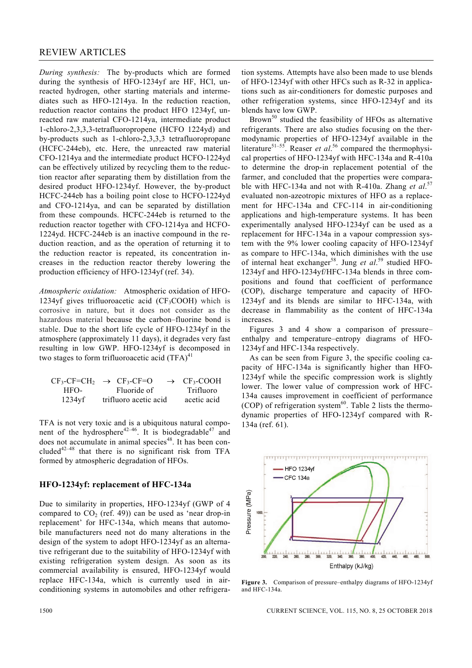*During synthesis:* The by-products which are formed during the synthesis of HFO-1234yf are HF, HCl, unreacted hydrogen, other starting materials and intermediates such as HFO-1214ya. In the reduction reaction, reduction reactor contains the product HFO 1234yf, unreacted raw material CFO-1214ya, intermediate product 1-chloro-2,3,3,3-tetrafluoropropene (HCFO 1224yd) and by-products such as 1-chloro-2,3,3,3 tetrafluoropropane (HCFC-244eb), etc. Here, the unreacted raw material CFO-1214ya and the intermediate product HCFO-1224yd can be effectively utilized by recycling them to the reduction reactor after separating them by distillation from the desired product HFO-1234yf. However, the by-product HCFC-244eb has a boiling point close to HCFO-1224yd and CFO-1214ya, and can be separated by distillation from these compounds. HCFC-244eb is returned to the reduction reactor together with CFO-1214ya and HCFO-1224yd. HCFC-244eb is an inactive compound in the reduction reaction, and as the operation of returning it to the reduction reactor is repeated, its concentration increases in the reduction reactor thereby lowering the production efficiency of HFO-1234yf (ref. 34).

*Atmospheric oxidation:* Atmospheric oxidation of HFO-1234yf gives trifluoroacetic acid ( $CF_3COOH$ ) which is corrosive in nature, but it does not consider as the hazardous material because the carbon–fluorine bond is stable. Due to the short life cycle of HFO-1234yf in the atmosphere (approximately 11 days), it degrades very fast resulting in low GWP. HFO-1234yf is decomposed in two stages to form trifluoroacetic acid  $(TFA)^{41}$ 

|           | $CF_3-CF=CH_2 \rightarrow CF_3-CF=O$ | $\rightarrow$ CF <sub>3</sub> -COOH |
|-----------|--------------------------------------|-------------------------------------|
| HFO-      | Fluoride of                          | Trifluoro                           |
| $1234$ yf | trifluoro acetic acid                | acetic acid                         |

TFA is not very toxic and is a ubiquitous natural component of the hydrosphere<sup>42–46</sup>. It is biodegradable<sup>47</sup> and does not accumulate in animal species<sup>48</sup>. It has been concluded<sup>42–48</sup> that there is no significant risk from TFA formed by atmospheric degradation of HFOs.

#### **HFO-1234yf: replacement of HFC-134a**

Due to similarity in properties, HFO-1234yf (GWP of 4 compared to  $CO<sub>2</sub>$  (ref. 49)) can be used as 'near drop-in replacement' for HFC-134a, which means that automobile manufacturers need not do many alterations in the design of the system to adopt HFO-1234yf as an alternative refrigerant due to the suitability of HFO-1234yf with existing refrigeration system design. As soon as its commercial availability is ensured, HFO-1234yf would replace HFC-134a, which is currently used in airconditioning systems in automobiles and other refrigeration systems. Attempts have also been made to use blends of HFO-1234yf with other HFCs such as R-32 in applications such as air-conditioners for domestic purposes and other refrigeration systems, since HFO-1234yf and its blends have low GWP.

Brown<sup>50</sup> studied the feasibility of HFOs as alternative refrigerants. There are also studies focusing on the thermodynamic properties of HFO-1234yf available in the literature<sup>51–55</sup>. Reaser *et al.*<sup>56</sup> compared the thermophysical properties of HFO-1234yf with HFC-134a and R-410a to determine the drop-in replacement potential of the farmer, and concluded that the properties were comparable with HFC-134a and not with R-410a. Zhang *et al*. 57 evaluated non-azeotropic mixtures of HFO as a replacement for HFC-134a and CFC-114 in air-conditioning applications and high-temperature systems. It has been experimentally analysed HFO-1234yf can be used as a replacement for HFC-134a in a vapour compression system with the 9% lower cooling capacity of HFO-1234yf as compare to HFC-134a, which diminishes with the use of internal heat exchanger<sup>58</sup>. Jung et al.<sup>59</sup> studied HFO-1234yf and HFO-1234yf/HFC-134a blends in three compositions and found that coefficient of performance (COP), discharge temperature and capacity of HFO-1234yf and its blends are similar to HFC-134a, with decrease in flammability as the content of HFC-134a increases.

 Figures 3 and 4 show a comparison of pressure– enthalpy and temperature–entropy diagrams of HFO-1234yf and HFC-134a respectively.

 As can be seen from Figure 3, the specific cooling capacity of HFC-134a is significantly higher than HFO-1234yf while the specific compression work is slightly lower. The lower value of compression work of HFC-134a causes improvement in coefficient of performance (COP) of refrigeration system $^{60}$ . Table 2 lists the thermodynamic properties of HFO-1234yf compared with R-134a (ref. 61).



**Figure 3.** Comparison of pressure–enthalpy diagrams of HFO-1234yf and HFC-134a.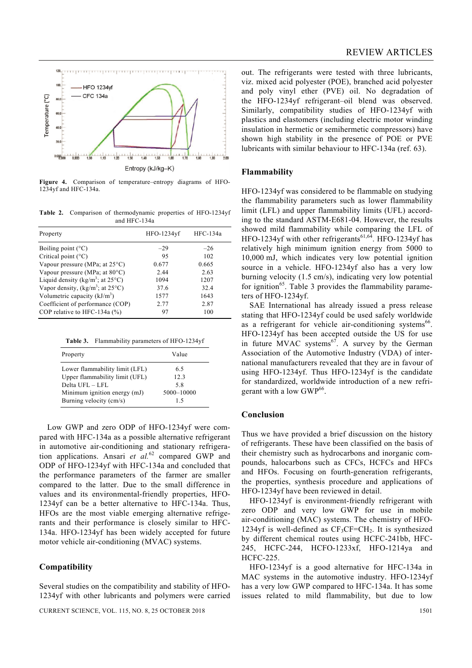

**Figure 4.** Comparison of temperature–entropy diagrams of HFO-1234yf and HFC-134a.

**Table 2.** Comparison of thermodynamic properties of HFO-1234yf and HFC-134a

| Property                                    | HFO-1234yf | HFC-134a |
|---------------------------------------------|------------|----------|
| Boiling point $(^{\circ}C)$                 | $-29$      | $-26$    |
| Critical point $(^{\circ}C)$                | 95         | 102      |
| Vapour pressure (MPa; at 25°C)              | 0.677      | 0.665    |
| Vapour pressure (MPa; at $80^{\circ}$ C)    | 2.44       | 2.63     |
| Liquid density ( $\text{kg/m}^3$ ; at 25°C) | 1094       | 1207     |
| Vapor density, $(kg/m^3$ ; at 25°C)         | 37.6       | 32.4     |
| Volumetric capacity $(kJ/m3)$               | 1577       | 1643     |
| Coefficient of performance (COP)            | 2.77       | 2.87     |
| COP relative to HFC-134a $(\%$ )            | 97         | 100      |

**Table 3.** Flammability parameters of HFO-1234yf

| Property                       | Value      |
|--------------------------------|------------|
| Lower flammability limit (LFL) | 6.5        |
| Upper flammability limit (UFL) | 12.3       |
| Delta UFL $-$ LFL              | 58         |
| Minimum ignition energy (mJ)   | 5000-10000 |
| Burning velocity (cm/s)        | 15         |

 Low GWP and zero ODP of HFO-1234yf were compared with HFC-134a as a possible alternative refrigerant in automotive air-conditioning and stationary refrigeration applications. Ansari *et al.*62 compared GWP and ODP of HFO-1234yf with HFC-134a and concluded that the performance parameters of the farmer are smaller compared to the latter. Due to the small difference in values and its environmental-friendly properties, HFO-1234yf can be a better alternative to HFC-134a. Thus, HFOs are the most viable emerging alternative refrigerants and their performance is closely similar to HFC-134a. HFO-1234yf has been widely accepted for future motor vehicle air-conditioning (MVAC) systems.

## **Compatibility**

Several studies on the compatibility and stability of HFO-1234yf with other lubricants and polymers were carried out. The refrigerants were tested with three lubricants, viz. mixed acid polyester (POE), branched acid polyester and poly vinyl ether (PVE) oil. No degradation of the HFO-1234yf refrigerant–oil blend was observed. Similarly, compatibility studies of HFO-1234yf with plastics and elastomers (including electric motor winding insulation in hermetic or semihermetic compressors) have shown high stability in the presence of POE or PVE lubricants with similar behaviour to HFC-134a (ref. 63).

#### **Flammability**

HFO-1234yf was considered to be flammable on studying the flammability parameters such as lower flammability limit (LFL) and upper flammability limits (UFL) according to the standard ASTM-E681-04. However, the results showed mild flammability while comparing the LFL of HFO-1234yf with other refrigerants<sup>61,64</sup>. HFO-1234yf has relatively high minimum ignition energy from 5000 to 10,000 mJ, which indicates very low potential ignition source in a vehicle. HFO-1234yf also has a very low burning velocity (1.5 cm/s), indicating very low potential for ignition<sup>65</sup>. Table 3 provides the flammability parameters of HFO-1234yf.

 SAE International has already issued a press release stating that HFO-1234yf could be used safely worldwide as a refrigerant for vehicle air-conditioning systems<sup>66</sup>. HFO-1234yf has been accepted outside the US for use in future MVAC systems $^{67}$ . A survey by the German Association of the Automotive Industry (VDA) of international manufacturers revealed that they are in favour of using HFO-1234yf. Thus HFO-1234yf is the candidate for standardized, worldwide introduction of a new refrigerant with a low  $GWP<sup>66</sup>$ .

#### **Conclusion**

Thus we have provided a brief discussion on the history of refrigerants. These have been classified on the basis of their chemistry such as hydrocarbons and inorganic compounds, halocarbons such as CFCs, HCFCs and HFCs and HFOs. Focusing on fourth-generation refrigerants, the properties, synthesis procedure and applications of HFO-1234yf have been reviewed in detail.

 HFO-1234yf is environment-friendly refrigerant with zero ODP and very low GWP for use in mobile air-conditioning (MAC) systems. The chemistry of HFO-1234yf is well-defined as  $CF_3CF=CH_2$ . It is synthesized by different chemical routes using HCFC-241bb, HFC-245, HCFC-244, HCFO-1233xf, HFO-1214ya and HCFC-225.

 HFO-1234yf is a good alternative for HFC-134a in MAC systems in the automotive industry. HFO-1234yf has a very low GWP compared to HFC-134a. It has some issues related to mild flammability, but due to low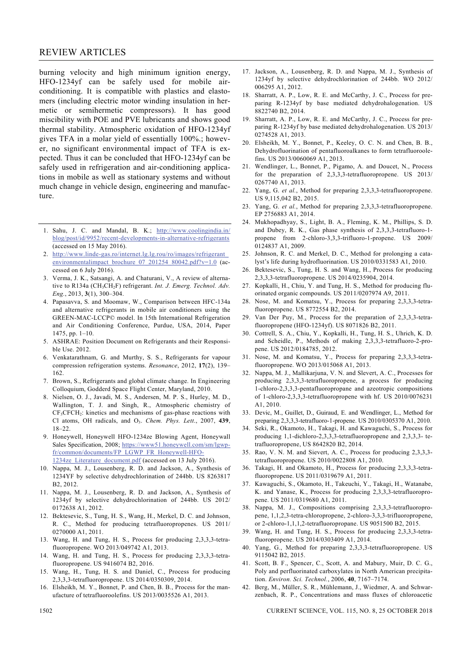## REVIEW ARTICLES

burning velocity and high minimum ignition energy, HFO-1234yf can be safely used for mobile airconditioning. It is compatible with plastics and elastomers (including electric motor winding insulation in hermetic or semihermetic compressors). It has good miscibility with POE and PVE lubricants and shows good thermal stability. Atmospheric oxidation of HFO-1234yf gives TFA in a molar yield of essentially 100%.; however, no significant environmental impact of TFA is expected. Thus it can be concluded that HFO-1234yf can be safely used in refrigeration and air-conditioning applications in mobile as well as stationary systems and without much change in vehicle design, engineering and manufacture.

- 1. Sahu, J. C. and Mandal, B. K.; http://www.coolingindia.in/ blog/post/id/9952/recent-developments-in-alternative-refrigerants (accessed on 15 May 2016).
- 2. http://www.linde-gas.ro/internet.lg.lg.rou/ro/images/refrigerant\_ environmentalimpact\_brochure\_07\_201254\_80042.pdf?v=1.0 (accessed on 6 July 2016).
- 3. Verma, J. K., Satsangi, A. and Chaturani, V., A review of alternative to R134a (CH3CH2F) refrigerant. *Int. J. Emerg. Technol. Adv. Eng.*, 2013, **3**(1), 300–304.
- 4. Papasavva, S. and Moomaw, W., Comparison between HFC-134a and alternative refrigerants in mobile air conditioners using the GREEN-MAC-LCCP© model. In 15th International Refrigeration and Air Conditioning Conference, Purdue, USA, 2014, Paper 1475, pp. 1–10.
- 5. ASHRAE: Position Document on Refrigerants and their Responsible Use. 2012.
- 6. Venkatarathnam, G. and Murthy, S. S., Refrigerants for vapour compression refrigeration systems. *Resonance*, 2012, **17**(2), 139– 162.
- 7. Brown, S., Refrigerants and global climate change. In Engineering Colloquium, Godderd Space Flight Center, Maryland, 2010.
- 8. Nielsen, O. J., Javadi, M. S., Andersen, M. P. S., Hurley, M. D., Wallington, T. J. and Singh, R., Atmospheric chemistry of  $CF<sub>3</sub>CFCH<sub>2</sub>$ : kinetics and mechanisms of gas-phase reactions with Cl atoms, OH radicals, and O3. *Chem. Phys. Lett*., 2007, **439**, 18–22.
- 9. Honeywell, Honeywell HFO-1234ze Blowing Agent, Honeywall Sales Specification, 2008; https://www51.honeywell.com/sm/lgwpfr/common/documents/FP\_LGWP\_FR\_Honeywell-HFO-1234ze\_Literature\_document.pdf (accessed on 13 July 2016).
- 10. Nappa, M. J., Lousenberg, R. D. and Jackson, A., Synthesis of 1234YF by selective dehydrochlorination of 244bb. US 8263817 B2, 2012.
- 11. Nappa, M. J., Lousenberg, R. D. and Jackson, A., Synthesis of 1234yf by selective dehydrochlorination of 244bb. US 2012/ 0172638 A1, 2012.
- 12. Bektesevic, S., Tung, H. S., Wang, H., Merkel, D. C. and Johnson, R. C., Method for producing tetrafluoropropenes. US 2011/ 0270000 A1, 2011.
- 13. Wang, H. and Tung, H. S., Process for producing 2,3,3,3-tetrafluoropropene. WO 2013/049742 A1, 2013.
- 14. Wang, H. and Tung, H. S., Process for producing 2,3,3,3-tetrafluoropropene. US 9416074 B2, 2016.
- 15. Wang, H., Tung, H. S. and Daniel, C., Process for producing 2,3,3,3-tetrafluoropropene. US 2014/0350309, 2014.
- 16. Elsheikh, M. Y., Bonnet, P. and Chen, B. B., Process for the manufacture of tetrafluoroolefins. US 2013/0035526 A1, 2013.
- 17. Jackson, A., Lousenberg, R. D. and Nappa, M. J., Synthesis of 1234yf by selective dehydrochlorination of 244bb. WO 2012/ 006295 A1, 2012.
- 18. Sharratt, A. P., Low, R. E. and McCarthy, J. C., Process for preparing R-1234yf by base mediated dehydrohalogenation. US 8822740 B2, 2014.
- 19. Sharratt, A. P., Low, R. E. and McCarthy, J. C., Process for preparing R-1234yf by base mediated dehydrohalogenation. US 2013/ 0274528 A1, 2013.
- 20. Elsheikh, M. Y., Bonnet, P., Keeley, O. C. N. and Chen, B. B., Dehydrofluorination of pentafluoroalkanes to form tetrafluoroolefins. US 2013/0060069 A1, 2013.
- 21. Wendlinger, L., Bonnet, P., Pigamo, A. and Doucet, N., Process for the preparation of 2,3,3,3-tetrafluoropropene. US 2013/ 0267740 A1, 2013.
- 22. Yang, G. *et al.*, Method for preparing 2,3,3,3-tetrafluoropropene. US 9,115,042 B2, 2015.
- 23. Yang, G. *et al.*, Method for preparing 2,3,3,3-tetrafluoropropene. EP 2756883 A1, 2014.
- 24. Mukhopadhyay, S., Light, B. A., Fleming, K. M., Phillips, S. D. and Dubey, R. K., Gas phase synthesis of 2,3,3,3-tetrafluoro-1 propene from 2-chloro-3,3,3-trifluoro-1-propene. US 2009/ 0124837 A1, 2009.
- 25. Johnson, R. C. and Merkel, D. C., Method for prolonging a catalyst's life during hydrofluorination. US 2010/0331583 A1, 2010.
- 26. Bektesevic, S., Tung, H. S. and Wang, H., Process for producing 2,3,3,3-tetrafluoropropene. US 2014/0235904, 2014.
- 27. Kopkalli, H., Chiu, Y. and Tung, H. S., Method for producing fluorinated organic compounds. US 2011/0207974 A9, 2011.
- 28. Nose, M. and Komatsu, Y., Process for preparing 2,3,3,3-tetrafluoropropene. US 8772554 B2, 2014.
- 29. Van Der Puy, M., Process for the preparation of 2,3,3,3-tetrafluoropropene (HFO-1234yf). US 8071826 B2, 2011.
- 30. Cottrell, S. A., Chiu, Y., Kopkalli, H., Tung, H. S., Uhrich, K. D. and Scheidle, P., Methods of making 2,3,3,3-tetrafluoro-2-propene. US 2012/0184785, 2012.
- 31. Nose, M. and Komatsu, Y., Process for preparing 2,3,3,3-tetrafluoropropene. WO 2013/015068 A1, 2013.
- 32. Nappa, M. J., Mallikarjuna, V. N. and Slevert, A. C., Processes for producing 2,3,3,3-tetrafluoropropene, a process for producing 1-chloro-2,3,3,3-pentafluoropropane and azeotropic compositions of 1-chloro-2,3,3,3-tetrafluoropropene with hf. US 2010/0076231 A1, 2010.
- 33. Devic, M., Guillet, D., Guiraud, E. and Wendlinger, L., Method for preparing 2,3,3,3-tetrafluoro-1-propene. US 2010/0305370 A1, 2010.
- 34. Seki, R., Okamoto, H., Takagi, H. and Kawaguchi, S., Process for producing 1,1-dichloro-2,3,3,3-tetrafluoropropene and 2,3,3,3- tetrafluoropropene, US 8642820 B2, 2014.
- 35. Rao, V. N. M. and Sievert, A. C., Process for producing 2,3,3,3 tetrafluoropropene. US 2010/0022808 A1, 2010.
- 36. Takagi, H. and Okamoto, H., Process for producing 2,3,3,3-tetrafluoropropene. US 2011/0319679 A1, 2011.
- 37. Kawaguchi, S., Okamoto, H., Takeuchi, Y., Takagi, H., Watanabe, K. and Yanase, K., Process for producing 2,3,3,3-tetrafluoropropene. US 2011/0319680 A1, 2011.
- 38. Nappa, M. J., Compositions comprising 2,3,3,3-tetrafluoropropene, 1,1,2,3-tetra-chloropropene, 2-chloro-3,3,3-trifluoropropene, or 2-chloro-1,1,1,2-tetrafluoropropane. US 9051500 B2, 2015.
- 39. Wang, H. and Tung, H. S., Process for producing 2,3,3,3-tetrafluoropropene. US 2014/0303409 A1, 2014.
- 40. Yang, G., Method for preparing 2,3,3,3-tetrafluoropropene. US 9115042 B2, 2015.
- 41. Scott, B. F., Spencer, C., Scott, A. and Mabury, Muir, D. C. G., Poly and perfluorinated carboxylates in North American precipitation. *Environ. Sci. Technol.*, 2006, **40**, 7167–7174.
- 42. Berg, M., Müller, S. R., Mühlemann, J., Wiedmer, A. and Schwarzenbach, R. P., Concentrations and mass fluxes of chloroacetic

1502 CURRENT SCIENCE, VOL. 115, NO. 8, 25 OCTOBER 2018